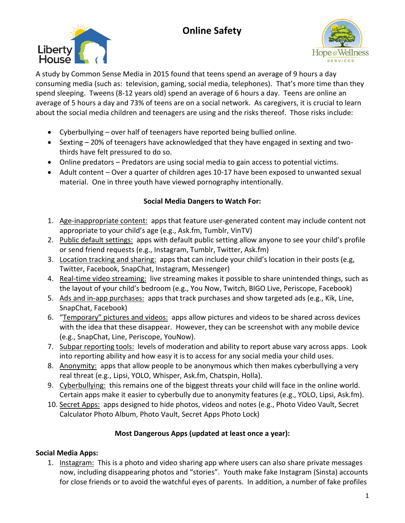# **Online Safety**





A study by Common Sense Media in 2015 found that teens spend an average of 9 hours a day consuming media (such as: television, gaming, social media, telephones). That's more time than they spend sleeping. Tweens (8-12 years old) spend an average of 6 hours a day. Teens are online an average of 5 hours a day and 73% of teens are on a social network. As caregivers, it is crucial to learn about the social media children and teenagers are using and the risks thereof. Those risks include:

- Cyberbullying over half of teenagers have reported being bullied online.
- Sexting 20% of teenagers have acknowledged that they have engaged in sexting and twothirds have felt pressured to do so.
- Online predators Predators are using social media to gain access to potential victims.
- Adult content Over a quarter of children ages 10-17 have been exposed to unwanted sexual material. One in three youth have viewed pornography intentionally.

# **Social Media Dangers to Watch For:**

- 1. Age-inappropriate content: apps that feature user-generated content may include content not appropriate to your child's age (e.g., Ask.fm, Tumblr, VinTV)
- 2. Public default settings: apps with default public setting allow anyone to see your child's profile or send friend requests (e.g., Instagram, Tumblr, Twitter, Ask.fm)
- 3. Location tracking and sharing: apps that can include your child's location in their posts (e.g, Twitter, Facebook, SnapChat, Instagram, Messenger)
- 4. Real-time video streaming: live streaming makes it possible to share unintended things, such as the layout of your child's bedroom (e.g., You Now, Twitch, BIGO Live, Periscope, Facebook)
- 5. Ads and in-app purchases: apps that track purchases and show targeted ads (e.g., Kik, Line, SnapChat, Facebook)
- 6. "Temporary" pictures and videos: apps allow pictures and videos to be shared across devices with the idea that these disappear. However, they can be screenshot with any mobile device (e.g., SnapChat, Line, Periscope, YouNow).
- 7. Subpar reporting tools: levels of moderation and ability to report abuse vary across apps. Look into reporting ability and how easy it is to access for any social media your child uses.
- 8. Anonymity: apps that allow people to be anonymous which then makes cyberbullying a very real threat (e.g., Lipsi, YOLO, Whisper, Ask.fm, Chatspin, Holla).
- 9. Cyberbullying: this remains one of the biggest threats your child will face in the online world. Certain apps make it easier to cyberbully due to anonymity features (e.g., YOLO, Lipsi, Ask.fm).
- 10. Secret Apps: apps designed to hide photos, videos and notes (e.g., Photo Video Vault, Secret Calculator Photo Album, Photo Vault, Secret Apps Photo Lock)

# **Most Dangerous Apps (updated at least once a year):**

# **Social Media Apps:**

1. Instagram: This is a photo and video sharing app where users can also share private messages now, including disappearing photos and "stories". Youth make fake Instagram (Sinsta) accounts for close friends or to avoid the watchful eyes of parents. In addition, a number of fake profiles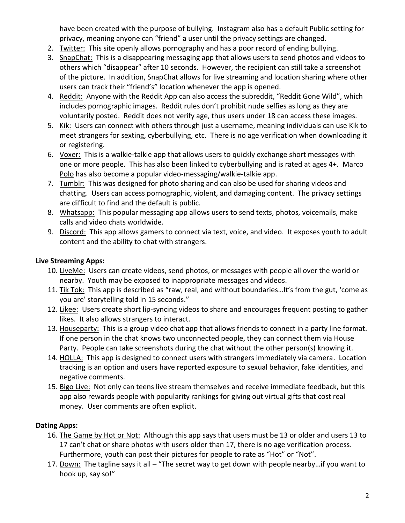have been created with the purpose of bullying. Instagram also has a default Public setting for privacy, meaning anyone can "friend" a user until the privacy settings are changed.

- 2. Twitter: This site openly allows pornography and has a poor record of ending bullying.
- 3. SnapChat: This is a disappearing messaging app that allows users to send photos and videos to others which "disappear" after 10 seconds. However, the recipient can still take a screenshot of the picture. In addition, SnapChat allows for live streaming and location sharing where other users can track their "friend's" location whenever the app is opened.
- 4. Reddit: Anyone with the Reddit App can also access the subreddit, "Reddit Gone Wild", which includes pornographic images. Reddit rules don't prohibit nude selfies as long as they are voluntarily posted. Reddit does not verify age, thus users under 18 can access these images.
- 5. Kik: Users can connect with others through just a username, meaning individuals can use Kik to meet strangers for sexting, cyberbullying, etc. There is no age verification when downloading it or registering.
- 6. Voxer: This is a walkie-talkie app that allows users to quickly exchange short messages with one or more people. This has also been linked to cyberbullying and is rated at ages 4+. Marco Polo has also become a popular video-messaging/walkie-talkie app.
- 7. Tumblr: This was designed for photo sharing and can also be used for sharing videos and chatting. Users can access pornographic, violent, and damaging content. The privacy settings are difficult to find and the default is public.
- 8. Whatsapp: This popular messaging app allows users to send texts, photos, voicemails, make calls and video chats worldwide.
- 9. Discord: This app allows gamers to connect via text, voice, and video. It exposes youth to adult content and the ability to chat with strangers.

#### **Live Streaming Apps:**

- 10. LiveMe: Users can create videos, send photos, or messages with people all over the world or nearby. Youth may be exposed to inappropriate messages and videos.
- 11. Tik Tok: This app is described as "raw, real, and without boundaries...It's from the gut, 'come as you are' storytelling told in 15 seconds."
- 12. Likee: Users create short lip-syncing videos to share and encourages frequent posting to gather likes. It also allows strangers to interact.
- 13. Houseparty: This is a group video chat app that allows friends to connect in a party line format. If one person in the chat knows two unconnected people, they can connect them via House Party. People can take screenshots during the chat without the other person(s) knowing it.
- 14. HOLLA: This app is designed to connect users with strangers immediately via camera. Location tracking is an option and users have reported exposure to sexual behavior, fake identities, and negative comments.
- 15. Bigo Live: Not only can teens live stream themselves and receive immediate feedback, but this app also rewards people with popularity rankings for giving out virtual gifts that cost real money. User comments are often explicit.

#### **Dating Apps:**

- 16. The Game by Hot or Not: Although this app says that users must be 13 or older and users 13 to 17 can't chat or share photos with users older than 17, there is no age verification process. Furthermore, youth can post their pictures for people to rate as "Hot" or "Not".
- 17. Down: The tagline says it all "The secret way to get down with people nearby...if you want to hook up, say so!"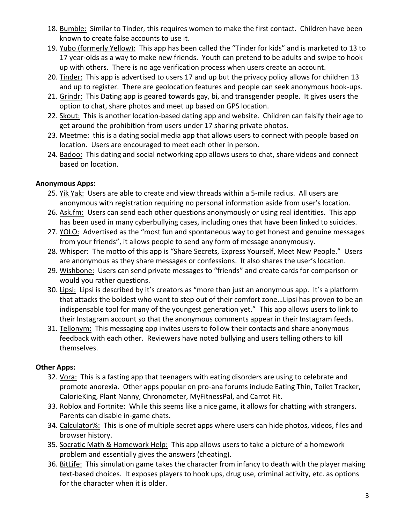- 18. Bumble: Similar to Tinder, this requires women to make the first contact. Children have been known to create false accounts to use it.
- 19. Yubo (formerly Yellow): This app has been called the "Tinder for kids" and is marketed to 13 to 17 year-olds as a way to make new friends. Youth can pretend to be adults and swipe to hook up with others. There is no age verification process when users create an account.
- 20. Tinder: This app is advertised to users 17 and up but the privacy policy allows for children 13 and up to register. There are geolocation features and people can seek anonymous hook-ups.
- 21. Grindr: This Dating app is geared towards gay, bi, and transgender people. It gives users the option to chat, share photos and meet up based on GPS location.
- 22. Skout: This is another location-based dating app and website. Children can falsify their age to get around the prohibition from users under 17 sharing private photos.
- 23. Meetme: this is a dating social media app that allows users to connect with people based on location. Users are encouraged to meet each other in person.
- 24. Badoo: This dating and social networking app allows users to chat, share videos and connect based on location.

#### **Anonymous Apps:**

- 25. Yik Yak: Users are able to create and view threads within a 5-mile radius. All users are anonymous with registration requiring no personal information aside from user's location.
- 26. Ask.fm: Users can send each other questions anonymously or using real identities. This app has been used in many cyberbullying cases, including ones that have been linked to suicides.
- 27. YOLO: Advertised as the "most fun and spontaneous way to get honest and genuine messages from your friends", it allows people to send any form of message anonymously.
- 28. Whisper: The motto of this app is "Share Secrets, Express Yourself, Meet New People." Users are anonymous as they share messages or confessions. It also shares the user's location.
- 29. Wishbone: Users can send private messages to "friends" and create cards for comparison or would you rather questions.
- 30. Lipsi: Lipsi is described by it's creators as "more than just an anonymous app. It's a platform that attacks the boldest who want to step out of their comfort zone…Lipsi has proven to be an indispensable tool for many of the youngest generation yet." This app allows users to link to their Instagram account so that the anonymous comments appear in their Instagram feeds.
- 31. Tellonym: This messaging app invites users to follow their contacts and share anonymous feedback with each other. Reviewers have noted bullying and users telling others to kill themselves.

#### **Other Apps:**

- 32. Vora: This is a fasting app that teenagers with eating disorders are using to celebrate and promote anorexia. Other apps popular on pro-ana forums include Eating Thin, Toilet Tracker, CalorieKing, Plant Nanny, Chronometer, MyFitnessPal, and Carrot Fit.
- 33. Roblox and Fortnite: While this seems like a nice game, it allows for chatting with strangers. Parents can disable in-game chats.
- 34. Calculator%: This is one of multiple secret apps where users can hide photos, videos, files and browser history.
- 35. Socratic Math & Homework Help: This app allows users to take a picture of a homework problem and essentially gives the answers (cheating).
- 36. BitLife: This simulation game takes the character from infancy to death with the player making text-based choices. It exposes players to hook ups, drug use, criminal activity, etc. as options for the character when it is older.